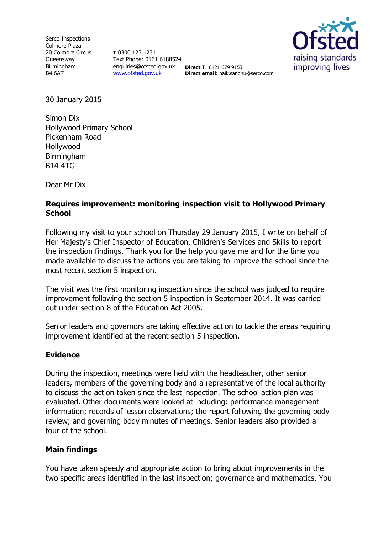Serco Inspections Colmore Plaza 20 Colmore Circus **Queensway** Birmingham B4 6AT

**T** 0300 123 1231 Text Phone: 0161 6188524 enquiries@ofsted.gov.uk [www.ofsted.gov.uk](http://www.ofsted.gov.uk/)



**Direct T**: 0121 679 9153 **Direct email**: naik.sandhu@serco.com

30 January 2015

Simon Dix Hollywood Primary School Pickenham Road Hollywood Birmingham B14 4TG

Dear Mr Dix

## **Requires improvement: monitoring inspection visit to Hollywood Primary School**

Following my visit to your school on Thursday 29 January 2015, I write on behalf of Her Majesty's Chief Inspector of Education, Children's Services and Skills to report the inspection findings. Thank you for the help you gave me and for the time you made available to discuss the actions you are taking to improve the school since the most recent section 5 inspection.

The visit was the first monitoring inspection since the school was judged to require improvement following the section 5 inspection in September 2014. It was carried out under section 8 of the Education Act 2005.

Senior leaders and governors are taking effective action to tackle the areas requiring improvement identified at the recent section 5 inspection.

## **Evidence**

During the inspection, meetings were held with the headteacher, other senior leaders, members of the governing body and a representative of the local authority to discuss the action taken since the last inspection. The school action plan was evaluated. Other documents were looked at including: performance management information; records of lesson observations; the report following the governing body review; and governing body minutes of meetings. Senior leaders also provided a tour of the school.

## **Main findings**

You have taken speedy and appropriate action to bring about improvements in the two specific areas identified in the last inspection; governance and mathematics. You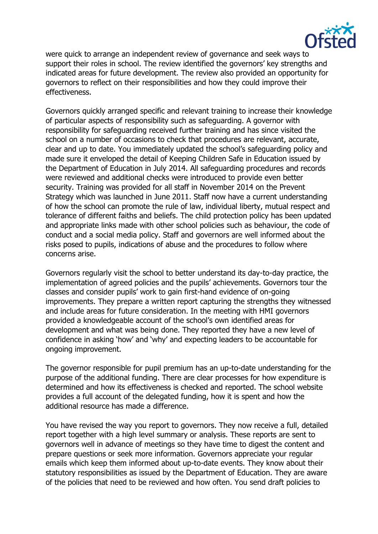

were quick to arrange an independent review of governance and seek ways to support their roles in school. The review identified the governors' key strengths and indicated areas for future development. The review also provided an opportunity for governors to reflect on their responsibilities and how they could improve their effectiveness.

Governors quickly arranged specific and relevant training to increase their knowledge of particular aspects of responsibility such as safeguarding. A governor with responsibility for safeguarding received further training and has since visited the school on a number of occasions to check that procedures are relevant, accurate, clear and up to date. You immediately updated the school's safeguarding policy and made sure it enveloped the detail of Keeping Children Safe in Education issued by the Department of Education in July 2014. All safeguarding procedures and records were reviewed and additional checks were introduced to provide even better security. Training was provided for all staff in November 2014 on the Prevent Strategy which was launched in June 2011. Staff now have a current understanding of how the school can promote the rule of law, individual liberty, mutual respect and tolerance of different faiths and beliefs. The child protection policy has been updated and appropriate links made with other school policies such as behaviour, the code of conduct and a social media policy. Staff and governors are well informed about the risks posed to pupils, indications of abuse and the procedures to follow where concerns arise.

Governors regularly visit the school to better understand its day-to-day practice, the implementation of agreed policies and the pupils' achievements. Governors tour the classes and consider pupils' work to gain first-hand evidence of on-going improvements. They prepare a written report capturing the strengths they witnessed and include areas for future consideration. In the meeting with HMI governors provided a knowledgeable account of the school's own identified areas for development and what was being done. They reported they have a new level of confidence in asking 'how' and 'why' and expecting leaders to be accountable for ongoing improvement.

The governor responsible for pupil premium has an up-to-date understanding for the purpose of the additional funding. There are clear processes for how expenditure is determined and how its effectiveness is checked and reported. The school website provides a full account of the delegated funding, how it is spent and how the additional resource has made a difference.

You have revised the way you report to governors. They now receive a full, detailed report together with a high level summary or analysis. These reports are sent to governors well in advance of meetings so they have time to digest the content and prepare questions or seek more information. Governors appreciate your regular emails which keep them informed about up-to-date events. They know about their statutory responsibilities as issued by the Department of Education. They are aware of the policies that need to be reviewed and how often. You send draft policies to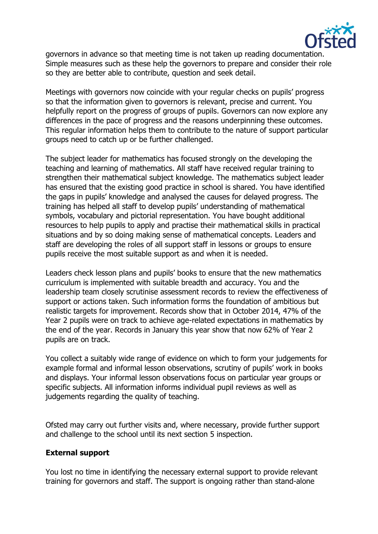

governors in advance so that meeting time is not taken up reading documentation. Simple measures such as these help the governors to prepare and consider their role so they are better able to contribute, question and seek detail.

Meetings with governors now coincide with your regular checks on pupils' progress so that the information given to governors is relevant, precise and current. You helpfully report on the progress of groups of pupils. Governors can now explore any differences in the pace of progress and the reasons underpinning these outcomes. This regular information helps them to contribute to the nature of support particular groups need to catch up or be further challenged.

The subject leader for mathematics has focused strongly on the developing the teaching and learning of mathematics. All staff have received regular training to strengthen their mathematical subject knowledge. The mathematics subject leader has ensured that the existing good practice in school is shared. You have identified the gaps in pupils' knowledge and analysed the causes for delayed progress. The training has helped all staff to develop pupils' understanding of mathematical symbols, vocabulary and pictorial representation. You have bought additional resources to help pupils to apply and practise their mathematical skills in practical situations and by so doing making sense of mathematical concepts. Leaders and staff are developing the roles of all support staff in lessons or groups to ensure pupils receive the most suitable support as and when it is needed.

Leaders check lesson plans and pupils' books to ensure that the new mathematics curriculum is implemented with suitable breadth and accuracy. You and the leadership team closely scrutinise assessment records to review the effectiveness of support or actions taken. Such information forms the foundation of ambitious but realistic targets for improvement. Records show that in October 2014, 47% of the Year 2 pupils were on track to achieve age-related expectations in mathematics by the end of the year. Records in January this year show that now 62% of Year 2 pupils are on track.

You collect a suitably wide range of evidence on which to form your judgements for example formal and informal lesson observations, scrutiny of pupils' work in books and displays. Your informal lesson observations focus on particular year groups or specific subjects. All information informs individual pupil reviews as well as judgements regarding the quality of teaching.

Ofsted may carry out further visits and, where necessary, provide further support and challenge to the school until its next section 5 inspection.

## **External support**

You lost no time in identifying the necessary external support to provide relevant training for governors and staff. The support is ongoing rather than stand-alone